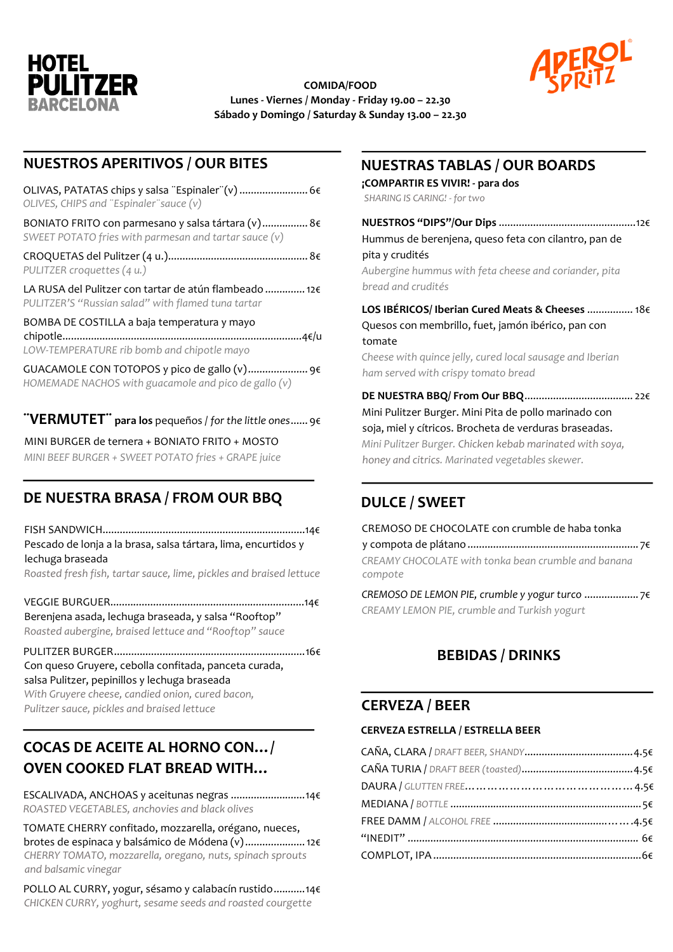

**COMIDA/FOOD Lunes - Viernes / Monday - Friday 19.00 – 22.30 Sábado y Domingo / Saturday & Sunday 13.00 – 22.30**

## **NUESTROS APERITIVOS / OUR BITES**

OLIVAS, PATATAS chips y salsa ¨Espinaler¨(v) ........................ 6€ *OLIVES, CHIPS and ¨Espinaler¨sauce (v)*

BONIATO FRITO con parmesano y salsa tártara (v)................ 8€ *SWEET POTATO fries with parmesan and tartar sauce (v)*

CROQUETAS del Pulitzer (4 u.)................................................. 8€ *PULITZER croquettes (4 u.)*

LA RUSA del Pulitzer con tartar de atún flambeado..............12€ *PULITZER'S "Russian salad" with flamed tuna tartar*

BOMBA DE COSTILLA a baja temperatura y mayo chipotle....................................................................................4€/u *LOW-TEMPERATURE rib bomb and chipotle mayo*

GUACAMOLE CON TOTOPOS y pico de gallo (v)..................... 9€ *HOMEMADE NACHOS with guacamole and pico de gallo (v)*

#### **¨VERMUTET¨ para los** pequeños / *for the little ones*...... 9€

MINI BURGER de ternera + BONIATO FRITO + MOSTO *MINI BEEF BURGER + SWEET POTATO fries + GRAPE juice* 

# **DE NUESTRA BRASA / FROM OUR BBQ**

FISH SANDWICH.......................................................................14€ Pescado de lonja a la brasa, salsa tártara, lima, encurtidos y lechuga braseada

*Roasted fresh fish, tartar sauce, lime, pickles and braised lettuce*

VEGGIE BURGUER....................................................................14€ Berenjena asada, lechuga braseada, y salsa "Rooftop" *Roasted aubergine, braised lettuce and "Rooftop" sauce*

PULITZER BURGER...................................................................16€ Con queso Gruyere, cebolla confitada, panceta curada, salsa Pulitzer, pepinillos y lechuga braseada *With Gruyere cheese, candied onion, cured bacon, Pulitzer sauce, pickles and braised lettuce*

# **COCAS DE ACEITE AL HORNO CON…/ OVEN COOKED FLAT BREAD WITH…**

ESCALIVADA, ANCHOAS y aceitunas negras ..........................14€ *ROASTED VEGETABLES, anchovies and black olives*

TOMATE CHERRY confitado, mozzarella, orégano, nueces, brotes de espinaca y balsámico de Módena (v).....................12€ *CHERRY TOMATO, mozzarella, oregano, nuts, spinach sprouts and balsamic vinegar*

POLLO AL CURRY, yogur, sésamo y calabacín rustido...........14€ *CHICKEN CURRY, yoghurt, sesame seeds and roasted courgette*

## **NUESTRAS TABLAS / OUR BOARDS**

**¡COMPARTIR ES VIVIR! - para dos** *SHARING IS CARING! - for two*

**NUESTROS "DIPS"/Our Dips** ................................................12€ Hummus de berenjena, queso feta con cilantro, pan de pita y crudités

*Aubergine hummus with feta cheese and coriander, pita bread and crudités*

**LOS IBÉRICOS/ Iberian Cured Meats & Cheeses** ................ 18€ Quesos con membrillo, fuet, jamón ibérico, pan con tomate

*Cheese with quince jelly, cured local sausage and Iberian ham served with crispy tomato bread*

**DE NUESTRA BBQ/ From Our BBQ**...................................... 22€ Mini Pulitzer Burger. Mini Pita de pollo marinado con soja, miel y cítricos. Brocheta de verduras braseadas. *Mini Pulitzer Burger. Chicken kebab marinated with soya, honey and citrics. Marinated vegetables skewer.*

# **DULCE / SWEET**

CREMOSO DE CHOCOLATE con crumble de haba tonka y compota de plátano............................................................ 7€ *CREAMY CHOCOLATE with tonka bean crumble and banana compote*

*CREMOSO DE LEMON PIE, crumble y yogur turco* ................... 7€ *CREAMY LEMON PIE, crumble and Turkish yogurt*

# **BEBIDAS / DRINKS**

#### **CERVEZA / BEER**

#### **CERVEZA ESTRELLA / ESTRELLA BEER**